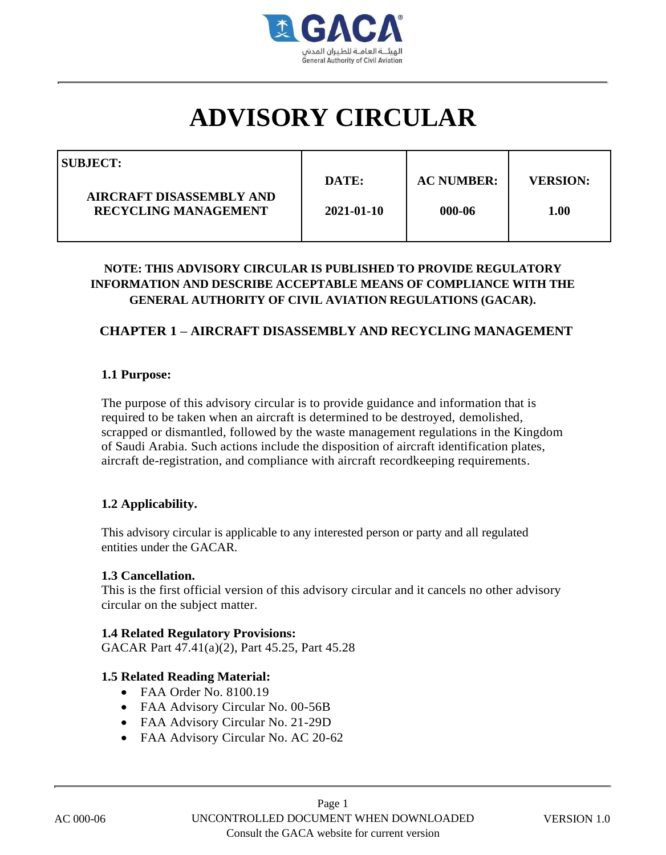

# **ADVISORY CIRCULAR**

| SUBJECT:                                                |            |                   |                 |
|---------------------------------------------------------|------------|-------------------|-----------------|
|                                                         | DATE:      | <b>AC NUMBER:</b> | <b>VERSION:</b> |
| AIRCRAFT DISASSEMBLY AND<br><b>RECYCLING MANAGEMENT</b> | 2021-01-10 | 000-06            | 1.00            |
|                                                         |            |                   |                 |

# **NOTE: THIS ADVISORY CIRCULAR IS PUBLISHED TO PROVIDE REGULATORY INFORMATION AND DESCRIBE ACCEPTABLE MEANS OF COMPLIANCE WITH THE GENERAL AUTHORITY OF CIVIL AVIATION REGULATIONS (GACAR).**

# **CHAPTER 1 – AIRCRAFT DISASSEMBLY AND RECYCLING MANAGEMENT**

### **1.1 Purpose:**

The purpose of this advisory circular is to provide guidance and information that is required to be taken when an aircraft is determined to be destroyed, demolished, scrapped or dismantled, followed by the waste management regulations in the Kingdom of Saudi Arabia. Such actions include the disposition of aircraft identification plates, aircraft de-registration, and compliance with aircraft recordkeeping requirements.

### **1.2 Applicability.**

This advisory circular is applicable to any interested person or party and all regulated entities under the GACAR.

#### **1.3 Cancellation.**

This is the first official version of this advisory circular and it cancels no other advisory circular on the subject matter.

#### **1.4 Related Regulatory Provisions:**

GACAR Part 47.41(a)(2), Part 45.25, Part 45.28

#### **1.5 Related Reading Material:**

- FAA Order No. 8100.19
- FAA Advisory Circular No. 00-56B
- FAA Advisory Circular No. 21-29D
- FAA Advisory Circular No. AC 20-62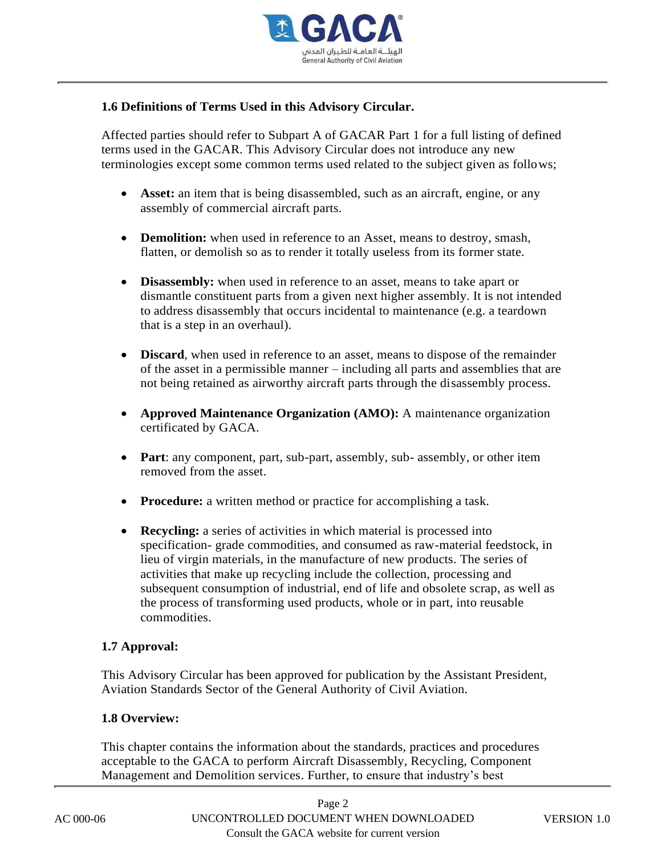

## **1.6 Definitions of Terms Used in this Advisory Circular.**

Affected parties should refer to Subpart A of GACAR Part 1 for a full listing of defined terms used in the GACAR. This Advisory Circular does not introduce any new terminologies except some common terms used related to the subject given as follows;

- **Asset:** an item that is being disassembled, such as an aircraft, engine, or any assembly of commercial aircraft parts.
- **Demolition:** when used in reference to an Asset, means to destroy, smash, flatten, or demolish so as to render it totally useless from its former state.
- **Disassembly:** when used in reference to an asset, means to take apart or dismantle constituent parts from a given next higher assembly. It is not intended to address disassembly that occurs incidental to maintenance (e.g. a teardown that is a step in an overhaul).
- **Discard**, when used in reference to an asset, means to dispose of the remainder of the asset in a permissible manner – including all parts and assemblies that are not being retained as airworthy aircraft parts through the disassembly process.
- **Approved Maintenance Organization (AMO):** A maintenance organization certificated by GACA.
- **Part**: any component, part, sub-part, assembly, sub- assembly, or other item removed from the asset.
- **Procedure:** a written method or practice for accomplishing a task.
- **Recycling:** a series of activities in which material is processed into specification- grade commodities, and consumed as raw-material feedstock, in lieu of virgin materials, in the manufacture of new products. The series of activities that make up recycling include the collection, processing and subsequent consumption of industrial, end of life and obsolete scrap, as well as the process of transforming used products, whole or in part, into reusable commodities.

### **1.7 Approval:**

This Advisory Circular has been approved for publication by the Assistant President, Aviation Standards Sector of the General Authority of Civil Aviation.

### **1.8 Overview:**

This chapter contains the information about the standards, practices and procedures acceptable to the GACA to perform Aircraft Disassembly, Recycling, Component Management and Demolition services. Further, to ensure that industry's best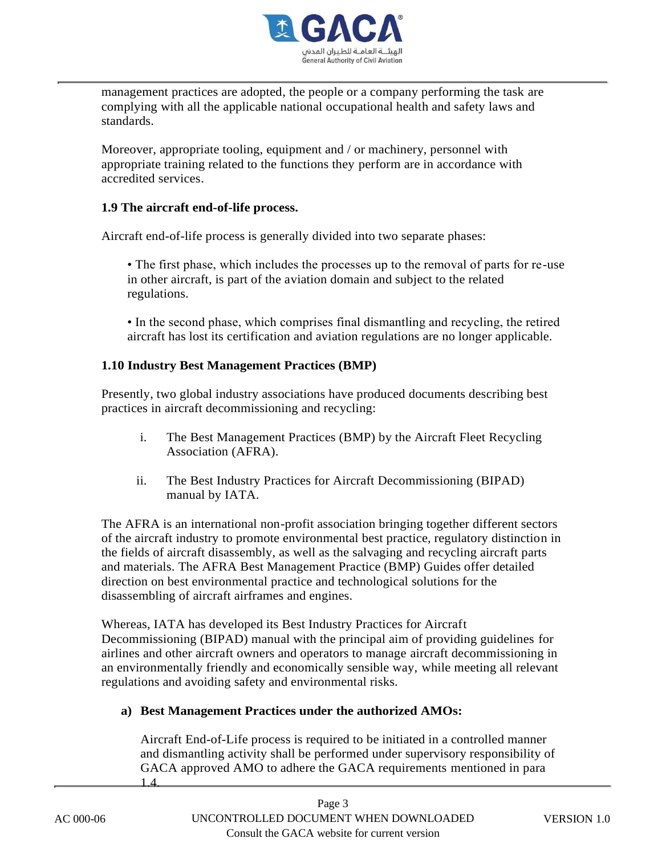

management practices are adopted, the people or a company performing the task are complying with all the applicable national occupational health and safety laws and standards.

Moreover, appropriate tooling, equipment and / or machinery, personnel with appropriate training related to the functions they perform are in accordance with accredited services.

## **1.9 The aircraft end-of-life process.**

Aircraft end-of-life process is generally divided into two separate phases:

• The first phase, which includes the processes up to the removal of parts for re-use in other aircraft, is part of the aviation domain and subject to the related regulations.

• In the second phase, which comprises final dismantling and recycling, the retired aircraft has lost its certification and aviation regulations are no longer applicable.

## **1.10 Industry Best Management Practices (BMP)**

Presently, two global industry associations have produced documents describing best practices in aircraft decommissioning and recycling:

- i. The Best Management Practices (BMP) by the Aircraft Fleet Recycling Association (AFRA).
- ii. The Best Industry Practices for Aircraft Decommissioning (BIPAD) manual by IATA.

The AFRA is an international non-profit association bringing together different sectors of the aircraft industry to promote environmental best practice, regulatory distinction in the fields of aircraft disassembly, as well as the salvaging and recycling aircraft parts and materials. The AFRA Best Management Practice (BMP) Guides offer detailed direction on best environmental practice and technological solutions for the disassembling of aircraft airframes and engines.

Whereas, IATA has developed its Best Industry Practices for Aircraft Decommissioning (BIPAD) manual with the principal aim of providing guidelines for airlines and other aircraft owners and operators to manage aircraft decommissioning in an environmentally friendly and economically sensible way, while meeting all relevant regulations and avoiding safety and environmental risks.

# **a) Best Management Practices under the authorized AMOs:**

Aircraft End-of-Life process is required to be initiated in a controlled manner and dismantling activity shall be performed under supervisory responsibility of GACA approved AMO to adhere the GACA requirements mentioned in para 1.4.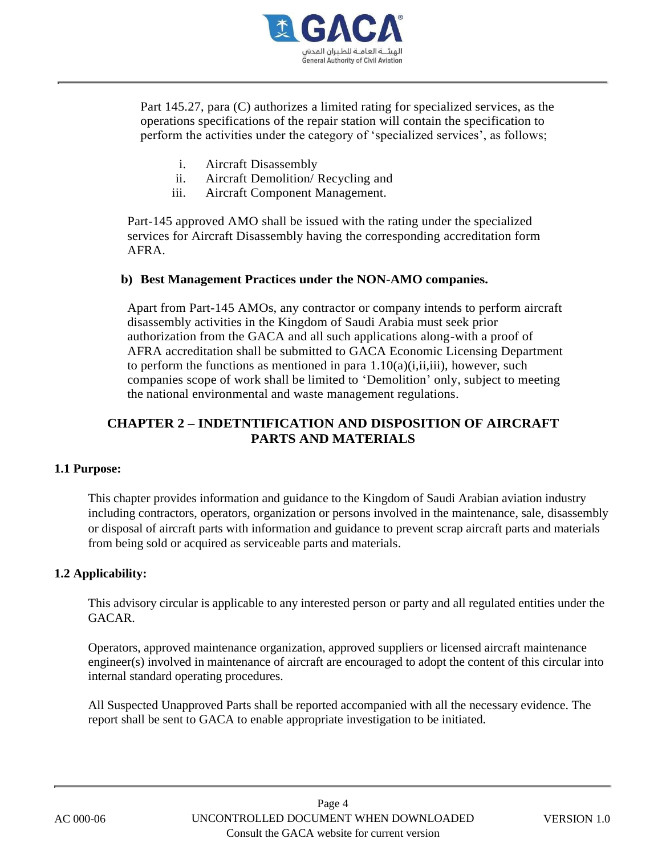

Part 145.27, para (C) authorizes a limited rating for specialized services, as the operations specifications of the repair station will contain the specification to perform the activities under the category of 'specialized services', as follows;

- i. Aircraft Disassembly
- ii. Aircraft Demolition/ Recycling and
- iii. Aircraft Component Management.

Part-145 approved AMO shall be issued with the rating under the specialized services for Aircraft Disassembly having the corresponding accreditation form AFRA.

### **b) Best Management Practices under the NON-AMO companies.**

Apart from Part-145 AMOs, any contractor or company intends to perform aircraft disassembly activities in the Kingdom of Saudi Arabia must seek prior authorization from the GACA and all such applications along-with a proof of AFRA accreditation shall be submitted to GACA Economic Licensing Department to perform the functions as mentioned in para  $1.10(a)(i,ii,iii)$ , however, such companies scope of work shall be limited to 'Demolition' only, subject to meeting the national environmental and waste management regulations.

# **CHAPTER 2 – INDETNTIFICATION AND DISPOSITION OF AIRCRAFT PARTS AND MATERIALS**

### **1.1 Purpose:**

This chapter provides information and guidance to the Kingdom of Saudi Arabian aviation industry including contractors, operators, organization or persons involved in the maintenance, sale, disassembly or disposal of aircraft parts with information and guidance to prevent scrap aircraft parts and materials from being sold or acquired as serviceable parts and materials.

### **1.2 Applicability:**

This advisory circular is applicable to any interested person or party and all regulated entities under the GACAR.

Operators, approved maintenance organization, approved suppliers or licensed aircraft maintenance engineer(s) involved in maintenance of aircraft are encouraged to adopt the content of this circular into internal standard operating procedures.

All Suspected Unapproved Parts shall be reported accompanied with all the necessary evidence. The report shall be sent to GACA to enable appropriate investigation to be initiated.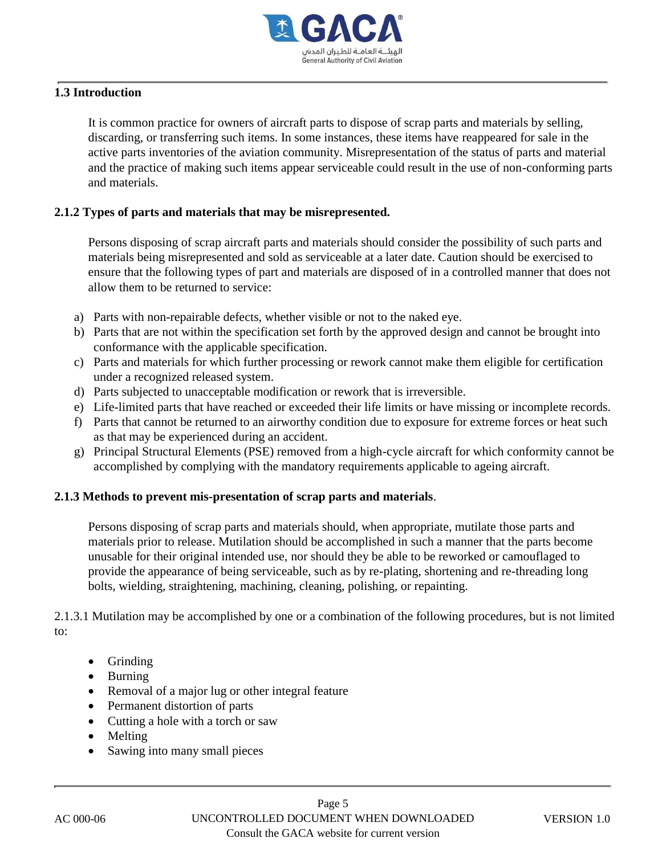

## **1.3 Introduction**

It is common practice for owners of aircraft parts to dispose of scrap parts and materials by selling, discarding, or transferring such items. In some instances, these items have reappeared for sale in the active parts inventories of the aviation community. Misrepresentation of the status of parts and material and the practice of making such items appear serviceable could result in the use of non-conforming parts and materials.

#### **2.1.2 Types of parts and materials that may be misrepresented.**

Persons disposing of scrap aircraft parts and materials should consider the possibility of such parts and materials being misrepresented and sold as serviceable at a later date. Caution should be exercised to ensure that the following types of part and materials are disposed of in a controlled manner that does not allow them to be returned to service:

- a) Parts with non-repairable defects, whether visible or not to the naked eye.
- b) Parts that are not within the specification set forth by the approved design and cannot be brought into conformance with the applicable specification.
- c) Parts and materials for which further processing or rework cannot make them eligible for certification under a recognized released system.
- d) Parts subjected to unacceptable modification or rework that is irreversible.
- e) Life-limited parts that have reached or exceeded their life limits or have missing or incomplete records.
- f) Parts that cannot be returned to an airworthy condition due to exposure for extreme forces or heat such as that may be experienced during an accident.
- g) Principal Structural Elements (PSE) removed from a high-cycle aircraft for which conformity cannot be accomplished by complying with the mandatory requirements applicable to ageing aircraft.

#### **2.1.3 Methods to prevent mis-presentation of scrap parts and materials**.

Persons disposing of scrap parts and materials should, when appropriate, mutilate those parts and materials prior to release. Mutilation should be accomplished in such a manner that the parts become unusable for their original intended use, nor should they be able to be reworked or camouflaged to provide the appearance of being serviceable, such as by re-plating, shortening and re-threading long bolts, wielding, straightening, machining, cleaning, polishing, or repainting.

2.1.3.1 Mutilation may be accomplished by one or a combination of the following procedures, but is not limited to:

- Grinding
- Burning
- Removal of a major lug or other integral feature
- Permanent distortion of parts
- Cutting a hole with a torch or saw
- Melting
- Sawing into many small pieces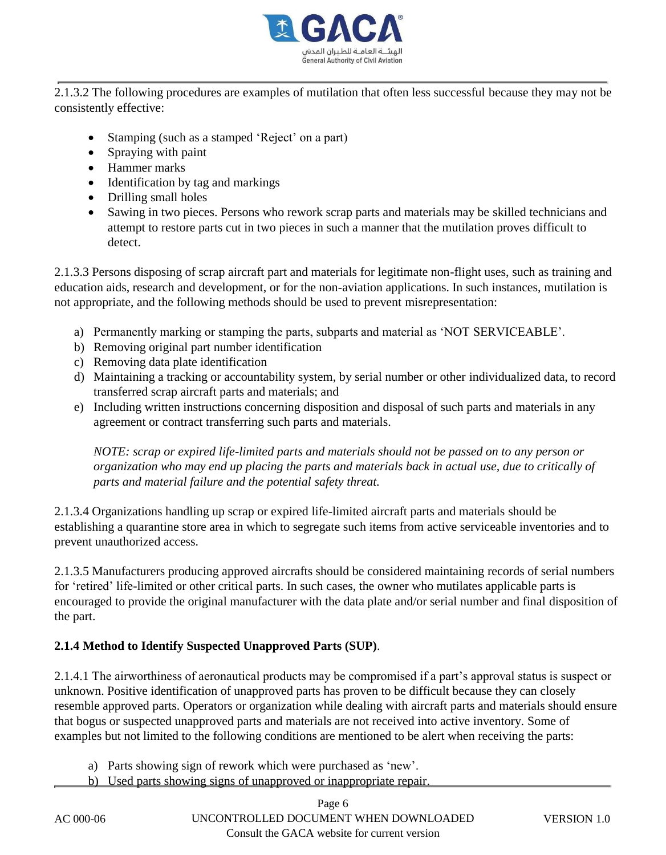

2.1.3.2 The following procedures are examples of mutilation that often less successful because they may not be consistently effective:

- Stamping (such as a stamped 'Reject' on a part)
- Spraying with paint
- Hammer marks
- Identification by tag and markings
- Drilling small holes
- Sawing in two pieces. Persons who rework scrap parts and materials may be skilled technicians and attempt to restore parts cut in two pieces in such a manner that the mutilation proves difficult to detect.

2.1.3.3 Persons disposing of scrap aircraft part and materials for legitimate non-flight uses, such as training and education aids, research and development, or for the non-aviation applications. In such instances, mutilation is not appropriate, and the following methods should be used to prevent misrepresentation:

- a) Permanently marking or stamping the parts, subparts and material as 'NOT SERVICEABLE'.
- b) Removing original part number identification
- c) Removing data plate identification
- d) Maintaining a tracking or accountability system, by serial number or other individualized data, to record transferred scrap aircraft parts and materials; and
- e) Including written instructions concerning disposition and disposal of such parts and materials in any agreement or contract transferring such parts and materials.

*NOTE: scrap or expired life-limited parts and materials should not be passed on to any person or organization who may end up placing the parts and materials back in actual use, due to critically of parts and material failure and the potential safety threat.*

2.1.3.4 Organizations handling up scrap or expired life-limited aircraft parts and materials should be establishing a quarantine store area in which to segregate such items from active serviceable inventories and to prevent unauthorized access.

2.1.3.5 Manufacturers producing approved aircrafts should be considered maintaining records of serial numbers for 'retired' life-limited or other critical parts. In such cases, the owner who mutilates applicable parts is encouraged to provide the original manufacturer with the data plate and/or serial number and final disposition of the part.

# **2.1.4 Method to Identify Suspected Unapproved Parts (SUP)**.

2.1.4.1 The airworthiness of aeronautical products may be compromised if a part's approval status is suspect or unknown. Positive identification of unapproved parts has proven to be difficult because they can closely resemble approved parts. Operators or organization while dealing with aircraft parts and materials should ensure that bogus or suspected unapproved parts and materials are not received into active inventory. Some of examples but not limited to the following conditions are mentioned to be alert when receiving the parts:

- a) Parts showing sign of rework which were purchased as 'new'.
- b) Used parts showing signs of unapproved or inappropriate repair.